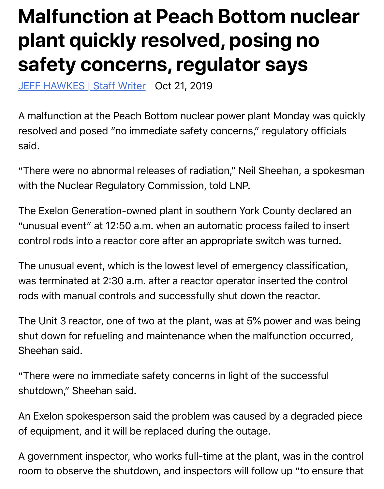## **safety concerns, regulator says**

JEFF HAWKES | Staff Writer Oct 21, 2019

A malfunction at the Peach Bottom nuclear power plant Monday wa resolved and posed "no immediate safety concerns," regulatory offi [said.](https://lancasteronline.com/staff/jeffhawkes)

"There were no abnormal releases of radiation," Neil Sheehan, a spo with the Nuclear Regulatory Commission, told LNP.

The Exelon Generation-owned plant in southern York County declar "unusual event" at 12:50 a.m. when an automatic process failed to i control rods into a reactor core after an appropriate switch was turn

The unusual event, which is the lowest level of emergency classification, was terminated at 2:30 a.m. after a reactor operator inserted the control rods with manual controls and successfully shut down the reactor.

The Unit 3 reactor, one of two at the plant, was at 5% power and wa shut down for refueling and maintenance when the malfunction occ Sheehan said.

"There were no immediate safety concerns in light of the successful shutdown," Sheehan said.

An Exelon spokesperson said the problem was caused by a degrade of equipment, and it will be replaced during the outage.

A government inspector, who works full-time at the plant, was in the room to observe the shutdown, and inspectors will follow up "to ens